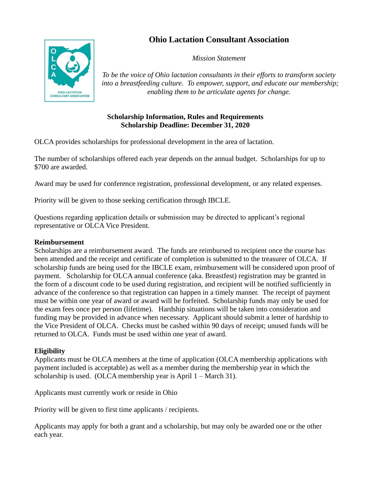# **Ohio Lactation Consultant Association**



*Mission Statement*

*To be the voice of Ohio lactation consultants in their efforts to transform society into a breastfeeding culture. To empower, support, and educate our membership; enabling them to be articulate agents for change.*

## **Scholarship Information, Rules and Requirements Scholarship Deadline: December 31, 2020**

OLCA provides scholarships for professional development in the area of lactation.

The number of scholarships offered each year depends on the annual budget. Scholarships for up to \$700 are awarded.

Award may be used for conference registration, professional development, or any related expenses.

Priority will be given to those seeking certification through IBCLE.

Questions regarding application details or submission may be directed to applicant's regional representative or OLCA Vice President.

### **Reimbursement**

Scholarships are a reimbursement award. The funds are reimbursed to recipient once the course has been attended and the receipt and certificate of completion is submitted to the treasurer of OLCA. If scholarship funds are being used for the IBCLE exam, reimbursement will be considered upon proof of payment. Scholarship for OLCA annual conference (aka. Breastfest) registration may be granted in the form of a discount code to be used during registration, and recipient will be notified sufficiently in advance of the conference so that registration can happen in a timely manner. The receipt of payment must be within one year of award or award will be forfeited. Scholarship funds may only be used for the exam fees once per person (lifetime). Hardship situations will be taken into consideration and funding may be provided in advance when necessary. Applicant should submit a letter of hardship to the Vice President of OLCA. Checks must be cashed within 90 days of receipt; unused funds will be returned to OLCA. Funds must be used within one year of award.

### **Eligibility**

Applicants must be OLCA members at the time of application (OLCA membership applications with payment included is acceptable) as well as a member during the membership year in which the scholarship is used. (OLCA membership year is April 1 – March 31).

Applicants must currently work or reside in Ohio

Priority will be given to first time applicants / recipients.

Applicants may apply for both a grant and a scholarship, but may only be awarded one or the other each year.